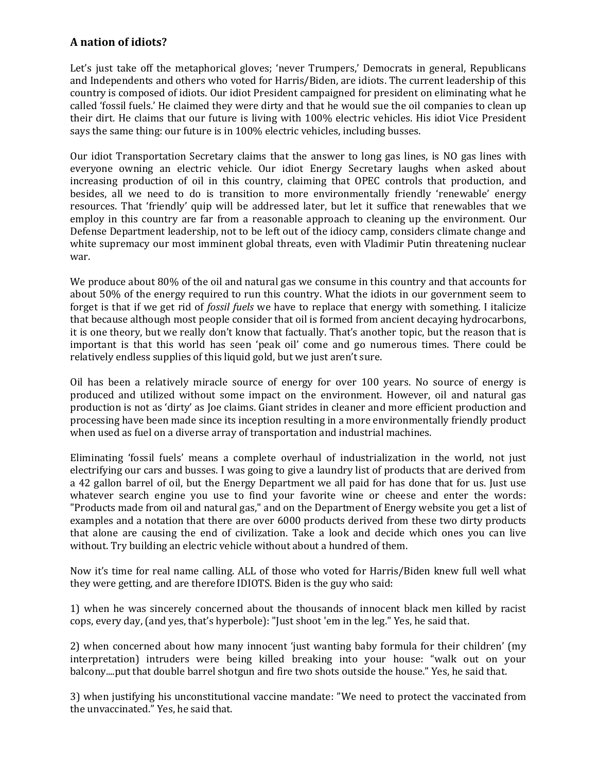## **A nation of idiots?**

Let's just take off the metaphorical gloves; 'never Trumpers,' Democrats in general, Republicans and Independents and others who voted for Harris/Biden, are idiots. The current leadership of this country is composed of idiots. Our idiot President campaigned for president on eliminating what he called 'fossil fuels.' He claimed they were dirty and that he would sue the oil companies to clean up their dirt. He claims that our future is living with 100% electric vehicles. His idiot Vice President says the same thing: our future is in 100% electric vehicles, including busses.

Our idiot Transportation Secretary claims that the answer to long gas lines, is NO gas lines with everyone owning an electric vehicle. Our idiot Energy Secretary laughs when asked about increasing production of oil in this country, claiming that OPEC controls that production, and besides, all we need to do is transition to more environmentally friendly 'renewable' energy resources. That 'friendly' quip will be addressed later, but let it suffice that renewables that we employ in this country are far from a reasonable approach to cleaning up the environment. Our Defense Department leadership, not to be left out of the idiocy camp, considers climate change and white supremacy our most imminent global threats, even with Vladimir Putin threatening nuclear war.

We produce about 80% of the oil and natural gas we consume in this country and that accounts for about 50% of the energy required to run this country. What the idiots in our government seem to forget is that if we get rid of *fossil fuels* we have to replace that energy with something. I italicize that because although most people consider that oil is formed from ancient decaying hydrocarbons, it is one theory, but we really don't know that factually. That's another topic, but the reason that is important is that this world has seen 'peak oil' come and go numerous times. There could be relatively endless supplies of this liquid gold, but we just aren't sure.

Oil has been a relatively miracle source of energy for over 100 years. No source of energy is produced and utilized without some impact on the environment. However, oil and natural gas production is not as 'dirty' as Joe claims. Giant strides in cleaner and more efficient production and processing have been made since its inception resulting in a more environmentally friendly product when used as fuel on a diverse array of transportation and industrial machines.

Eliminating 'fossil fuels' means a complete overhaul of industrialization in the world, not just electrifying our cars and busses. I was going to give a laundry list of products that are derived from a 42 gallon barrel of oil, but the Energy Department we all paid for has done that for us. Just use whatever search engine you use to find your favorite wine or cheese and enter the words: "Products made from oil and natural gas," and on the Department of Energy website you get a list of examples and a notation that there are over 6000 products derived from these two dirty products that alone are causing the end of civilization. Take a look and decide which ones you can live without. Try building an electric vehicle without about a hundred of them.

Now it's time for real name calling. ALL of those who voted for Harris/Biden knew full well what they were getting, and are therefore IDIOTS. Biden is the guy who said:

1) when he was sincerely concerned about the thousands of innocent black men killed by racist cops, every day, (and yes, that's hyperbole): "Just shoot 'em in the leg." Yes, he said that.

2) when concerned about how many innocent 'just wanting baby formula for their children' (my interpretation) intruders were being killed breaking into your house: "walk out on your balcony....put that double barrel shotgun and fire two shots outside the house." Yes, he said that.

3) when justifying his unconstitutional vaccine mandate: "We need to protect the vaccinated from the unvaccinated." Yes, he said that.